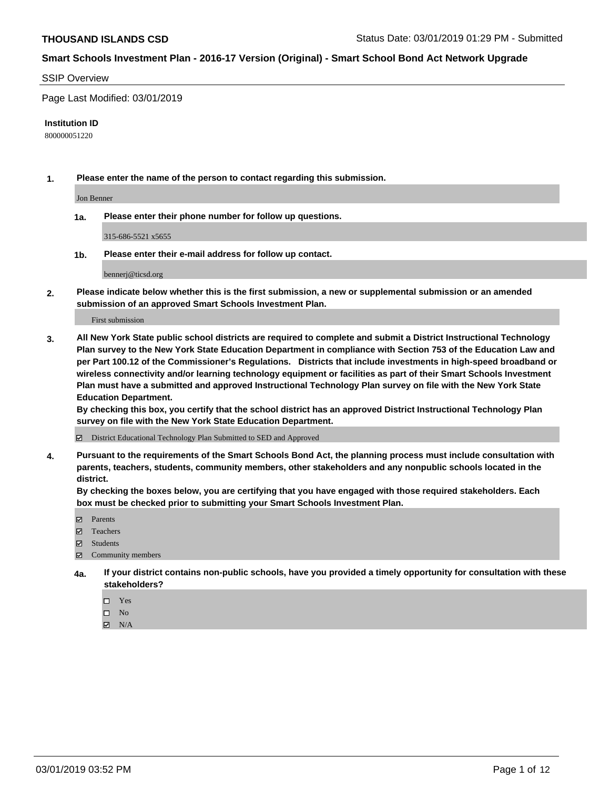#### SSIP Overview

Page Last Modified: 03/01/2019

#### **Institution ID**

800000051220

**1. Please enter the name of the person to contact regarding this submission.**

Jon Benner

**1a. Please enter their phone number for follow up questions.**

315-686-5521 x5655

**1b. Please enter their e-mail address for follow up contact.**

bennerj@ticsd.org

**2. Please indicate below whether this is the first submission, a new or supplemental submission or an amended submission of an approved Smart Schools Investment Plan.**

First submission

**3. All New York State public school districts are required to complete and submit a District Instructional Technology Plan survey to the New York State Education Department in compliance with Section 753 of the Education Law and per Part 100.12 of the Commissioner's Regulations. Districts that include investments in high-speed broadband or wireless connectivity and/or learning technology equipment or facilities as part of their Smart Schools Investment Plan must have a submitted and approved Instructional Technology Plan survey on file with the New York State Education Department.** 

**By checking this box, you certify that the school district has an approved District Instructional Technology Plan survey on file with the New York State Education Department.**

District Educational Technology Plan Submitted to SED and Approved

**4. Pursuant to the requirements of the Smart Schools Bond Act, the planning process must include consultation with parents, teachers, students, community members, other stakeholders and any nonpublic schools located in the district.** 

**By checking the boxes below, you are certifying that you have engaged with those required stakeholders. Each box must be checked prior to submitting your Smart Schools Investment Plan.**

- **□** Parents
- Teachers
- Students
- $\boxtimes$  Community members
- **4a. If your district contains non-public schools, have you provided a timely opportunity for consultation with these stakeholders?**
	- $\Box$  Yes
	- $\qquad \qquad$  No
	- $\blacksquare$  N/A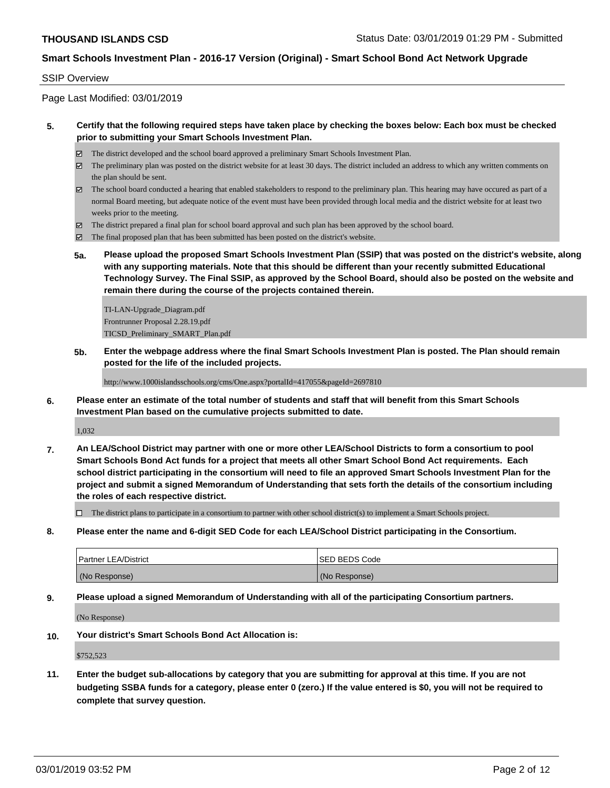#### SSIP Overview

Page Last Modified: 03/01/2019

### **5. Certify that the following required steps have taken place by checking the boxes below: Each box must be checked prior to submitting your Smart Schools Investment Plan.**

- The district developed and the school board approved a preliminary Smart Schools Investment Plan.
- $\boxtimes$  The preliminary plan was posted on the district website for at least 30 days. The district included an address to which any written comments on the plan should be sent.
- $\boxtimes$  The school board conducted a hearing that enabled stakeholders to respond to the preliminary plan. This hearing may have occured as part of a normal Board meeting, but adequate notice of the event must have been provided through local media and the district website for at least two weeks prior to the meeting.
- The district prepared a final plan for school board approval and such plan has been approved by the school board.
- $\boxtimes$  The final proposed plan that has been submitted has been posted on the district's website.
- **5a. Please upload the proposed Smart Schools Investment Plan (SSIP) that was posted on the district's website, along with any supporting materials. Note that this should be different than your recently submitted Educational Technology Survey. The Final SSIP, as approved by the School Board, should also be posted on the website and remain there during the course of the projects contained therein.**

TI-LAN-Upgrade\_Diagram.pdf Frontrunner Proposal 2.28.19.pdf TICSD\_Preliminary\_SMART\_Plan.pdf

**5b. Enter the webpage address where the final Smart Schools Investment Plan is posted. The Plan should remain posted for the life of the included projects.**

http://www.1000islandsschools.org/cms/One.aspx?portalId=417055&pageId=2697810

**6. Please enter an estimate of the total number of students and staff that will benefit from this Smart Schools Investment Plan based on the cumulative projects submitted to date.**

1,032

**7. An LEA/School District may partner with one or more other LEA/School Districts to form a consortium to pool Smart Schools Bond Act funds for a project that meets all other Smart School Bond Act requirements. Each school district participating in the consortium will need to file an approved Smart Schools Investment Plan for the project and submit a signed Memorandum of Understanding that sets forth the details of the consortium including the roles of each respective district.**

 $\Box$  The district plans to participate in a consortium to partner with other school district(s) to implement a Smart Schools project.

**8. Please enter the name and 6-digit SED Code for each LEA/School District participating in the Consortium.**

| <b>Partner LEA/District</b> | <b>ISED BEDS Code</b> |
|-----------------------------|-----------------------|
| (No Response)               | (No Response)         |

**9. Please upload a signed Memorandum of Understanding with all of the participating Consortium partners.**

(No Response)

**10. Your district's Smart Schools Bond Act Allocation is:**

\$752,523

**11. Enter the budget sub-allocations by category that you are submitting for approval at this time. If you are not budgeting SSBA funds for a category, please enter 0 (zero.) If the value entered is \$0, you will not be required to complete that survey question.**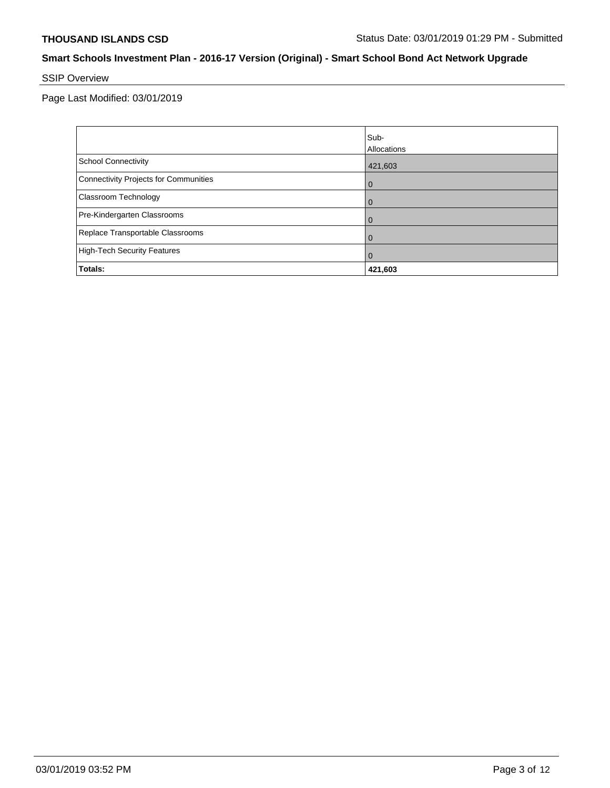# SSIP Overview

Page Last Modified: 03/01/2019

|                                       | Sub-<br>Allocations |
|---------------------------------------|---------------------|
| School Connectivity                   | 421,603             |
| Connectivity Projects for Communities | $\overline{0}$      |
| <b>Classroom Technology</b>           | $\overline{0}$      |
| Pre-Kindergarten Classrooms           | $\Omega$            |
| Replace Transportable Classrooms      | $\Omega$            |
| High-Tech Security Features           | $\overline{0}$      |
| Totals:                               | 421,603             |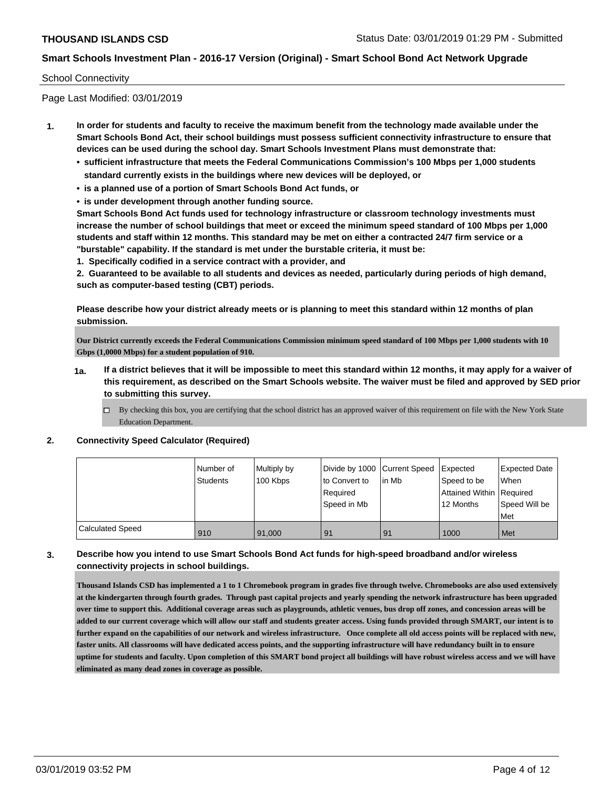### School Connectivity

Page Last Modified: 03/01/2019

- **1. In order for students and faculty to receive the maximum benefit from the technology made available under the Smart Schools Bond Act, their school buildings must possess sufficient connectivity infrastructure to ensure that devices can be used during the school day. Smart Schools Investment Plans must demonstrate that:**
	- **• sufficient infrastructure that meets the Federal Communications Commission's 100 Mbps per 1,000 students standard currently exists in the buildings where new devices will be deployed, or**
	- **• is a planned use of a portion of Smart Schools Bond Act funds, or**
	- **• is under development through another funding source.**

**Smart Schools Bond Act funds used for technology infrastructure or classroom technology investments must increase the number of school buildings that meet or exceed the minimum speed standard of 100 Mbps per 1,000 students and staff within 12 months. This standard may be met on either a contracted 24/7 firm service or a "burstable" capability. If the standard is met under the burstable criteria, it must be:**

**1. Specifically codified in a service contract with a provider, and**

**2. Guaranteed to be available to all students and devices as needed, particularly during periods of high demand, such as computer-based testing (CBT) periods.**

**Please describe how your district already meets or is planning to meet this standard within 12 months of plan submission.**

**Our District currently exceeds the Federal Communications Commission minimum speed standard of 100 Mbps per 1,000 students with 10 Gbps (1,0000 Mbps) for a student population of 910.**

- **1a. If a district believes that it will be impossible to meet this standard within 12 months, it may apply for a waiver of this requirement, as described on the Smart Schools website. The waiver must be filed and approved by SED prior to submitting this survey.**
	- By checking this box, you are certifying that the school district has an approved waiver of this requirement on file with the New York State Education Department.

#### **2. Connectivity Speed Calculator (Required)**

|                         | Number of<br><b>Students</b> | Multiply by<br>100 Kbps | Divide by 1000 Current Speed<br>to Convert to<br>Required<br>l Speed in Mb | lin Mb | Expected<br>Speed to be<br>Attained Within Required<br>12 Months | <b>Expected Date</b><br>When<br>Speed Will be<br>Met |
|-------------------------|------------------------------|-------------------------|----------------------------------------------------------------------------|--------|------------------------------------------------------------------|------------------------------------------------------|
|                         |                              |                         |                                                                            |        |                                                                  |                                                      |
| <b>Calculated Speed</b> | 910                          | 91,000                  | 91                                                                         | 91     | 1000                                                             | Met                                                  |

### **3. Describe how you intend to use Smart Schools Bond Act funds for high-speed broadband and/or wireless connectivity projects in school buildings.**

**Thousand Islands CSD has implemented a 1 to 1 Chromebook program in grades five through twelve. Chromebooks are also used extensively at the kindergarten through fourth grades. Through past capital projects and yearly spending the network infrastructure has been upgraded over time to support this. Additional coverage areas such as playgrounds, athletic venues, bus drop off zones, and concession areas will be added to our current coverage which will allow our staff and students greater access. Using funds provided through SMART, our intent is to further expand on the capabilities of our network and wireless infrastructure. Once complete all old access points will be replaced with new, faster units. All classrooms will have dedicated access points, and the supporting infrastructure will have redundancy built in to ensure uptime for students and faculty. Upon completion of this SMART bond project all buildings will have robust wireless access and we will have eliminated as many dead zones in coverage as possible.**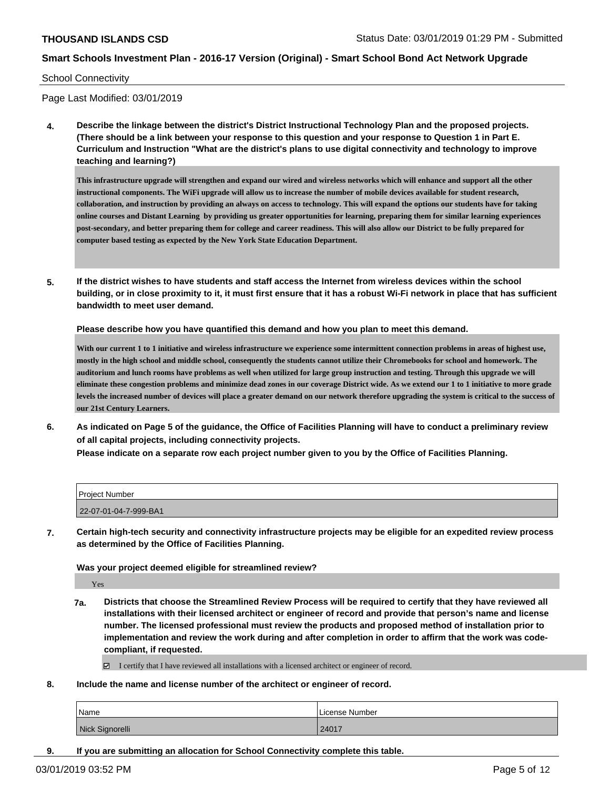#### School Connectivity

Page Last Modified: 03/01/2019

**4. Describe the linkage between the district's District Instructional Technology Plan and the proposed projects. (There should be a link between your response to this question and your response to Question 1 in Part E. Curriculum and Instruction "What are the district's plans to use digital connectivity and technology to improve teaching and learning?)**

**This infrastructure upgrade will strengthen and expand our wired and wireless networks which will enhance and support all the other instructional components. The WiFi upgrade will allow us to increase the number of mobile devices available for student research, collaboration, and instruction by providing an always on access to technology. This will expand the options our students have for taking online courses and Distant Learning by providing us greater opportunities for learning, preparing them for similar learning experiences post-secondary, and better preparing them for college and career readiness. This will also allow our District to be fully prepared for computer based testing as expected by the New York State Education Department.**

**5. If the district wishes to have students and staff access the Internet from wireless devices within the school building, or in close proximity to it, it must first ensure that it has a robust Wi-Fi network in place that has sufficient bandwidth to meet user demand.**

**Please describe how you have quantified this demand and how you plan to meet this demand.**

**With our current 1 to 1 initiative and wireless infrastructure we experience some intermittent connection problems in areas of highest use, mostly in the high school and middle school, consequently the students cannot utilize their Chromebooks for school and homework. The auditorium and lunch rooms have problems as well when utilized for large group instruction and testing. Through this upgrade we will eliminate these congestion problems and minimize dead zones in our coverage District wide. As we extend our 1 to 1 initiative to more grade levels the increased number of devices will place a greater demand on our network therefore upgrading the system is critical to the success of our 21st Century Learners.**

**6. As indicated on Page 5 of the guidance, the Office of Facilities Planning will have to conduct a preliminary review of all capital projects, including connectivity projects.**

**Please indicate on a separate row each project number given to you by the Office of Facilities Planning.**

| <b>Project Number</b> |  |
|-----------------------|--|
| 22-07-01-04-7-999-BA1 |  |

**7. Certain high-tech security and connectivity infrastructure projects may be eligible for an expedited review process as determined by the Office of Facilities Planning.**

#### **Was your project deemed eligible for streamlined review?**

Yes

- **7a. Districts that choose the Streamlined Review Process will be required to certify that they have reviewed all installations with their licensed architect or engineer of record and provide that person's name and license number. The licensed professional must review the products and proposed method of installation prior to implementation and review the work during and after completion in order to affirm that the work was codecompliant, if requested.**
	- I certify that I have reviewed all installations with a licensed architect or engineer of record.
- **8. Include the name and license number of the architect or engineer of record.**

| Name            | License Number |
|-----------------|----------------|
| Nick Signorelli | 24017          |

**9. If you are submitting an allocation for School Connectivity complete this table.**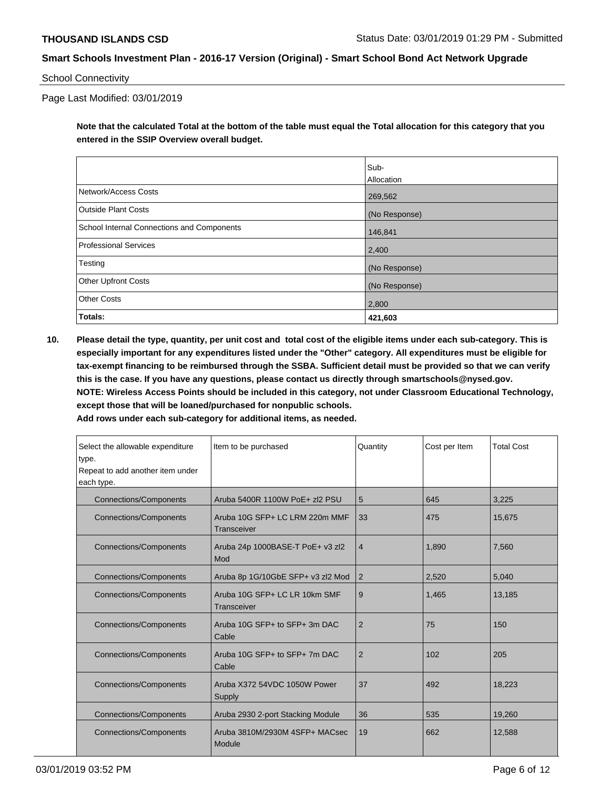#### School Connectivity

Page Last Modified: 03/01/2019

**Note that the calculated Total at the bottom of the table must equal the Total allocation for this category that you entered in the SSIP Overview overall budget.** 

|                                                   | Sub-          |
|---------------------------------------------------|---------------|
|                                                   | Allocation    |
| Network/Access Costs                              | 269,562       |
| <b>Outside Plant Costs</b>                        | (No Response) |
| <b>School Internal Connections and Components</b> | 146,841       |
| <b>Professional Services</b>                      | 2,400         |
| Testing                                           | (No Response) |
| <b>Other Upfront Costs</b>                        | (No Response) |
| <b>Other Costs</b>                                | 2,800         |
| Totals:                                           | 421,603       |

**10. Please detail the type, quantity, per unit cost and total cost of the eligible items under each sub-category. This is especially important for any expenditures listed under the "Other" category. All expenditures must be eligible for tax-exempt financing to be reimbursed through the SSBA. Sufficient detail must be provided so that we can verify this is the case. If you have any questions, please contact us directly through smartschools@nysed.gov. NOTE: Wireless Access Points should be included in this category, not under Classroom Educational Technology, except those that will be loaned/purchased for nonpublic schools.**

**Add rows under each sub-category for additional items, as needed.**

| Select the allowable expenditure<br>type.<br>Repeat to add another item under<br>each type. | Item to be purchased                          | Quantity       | Cost per Item | <b>Total Cost</b> |
|---------------------------------------------------------------------------------------------|-----------------------------------------------|----------------|---------------|-------------------|
| <b>Connections/Components</b>                                                               | Aruba 5400R 1100W PoE+ zl2 PSU                | 5              | 645           | 3,225             |
| <b>Connections/Components</b>                                                               | Aruba 10G SFP+ LC LRM 220m MMF<br>Transceiver | 33             | 475           | 15,675            |
| <b>Connections/Components</b>                                                               | Aruba 24p 1000BASE-T PoE+ v3 zl2<br>Mod       | $\overline{4}$ | 1,890         | 7,560             |
| <b>Connections/Components</b>                                                               | Aruba 8p 1G/10GbE SFP+ v3 zl2 Mod             | 2              | 2,520         | 5,040             |
| <b>Connections/Components</b>                                                               | Aruba 10G SFP+ LC LR 10km SMF<br>Transceiver  | 9              | 1,465         | 13,185            |
| <b>Connections/Components</b>                                                               | Aruba 10G SFP+ to SFP+ 3m DAC<br>Cable        | $\overline{2}$ | 75            | 150               |
| <b>Connections/Components</b>                                                               | Aruba 10G SFP+ to SFP+ 7m DAC<br>Cable        | $\overline{2}$ | 102           | 205               |
| <b>Connections/Components</b>                                                               | Aruba X372 54VDC 1050W Power<br>Supply        | 37             | 492           | 18,223            |
| <b>Connections/Components</b>                                                               | Aruba 2930 2-port Stacking Module             | 36             | 535           | 19,260            |
| <b>Connections/Components</b>                                                               | Aruba 3810M/2930M 4SFP+ MACsec<br>Module      | 19             | 662           | 12,588            |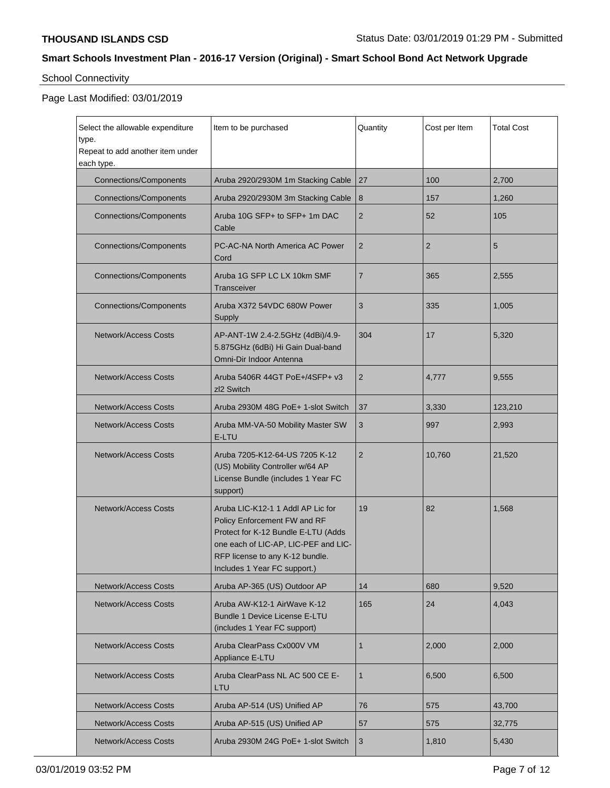# School Connectivity

# Page Last Modified: 03/01/2019

| Select the allowable expenditure<br>type.<br>Repeat to add another item under | Item to be purchased                                                                                                                                                                                                | Quantity       | Cost per Item  | <b>Total Cost</b> |
|-------------------------------------------------------------------------------|---------------------------------------------------------------------------------------------------------------------------------------------------------------------------------------------------------------------|----------------|----------------|-------------------|
| each type.                                                                    |                                                                                                                                                                                                                     |                |                |                   |
| <b>Connections/Components</b>                                                 | Aruba 2920/2930M 1m Stacking Cable                                                                                                                                                                                  | 27             | 100            | 2,700             |
| <b>Connections/Components</b>                                                 | Aruba 2920/2930M 3m Stacking Cable                                                                                                                                                                                  | 8              | 157            | 1,260             |
| <b>Connections/Components</b>                                                 | Aruba 10G SFP+ to SFP+ 1m DAC<br>Cable                                                                                                                                                                              | $\overline{2}$ | 52             | 105               |
| <b>Connections/Components</b>                                                 | PC-AC-NA North America AC Power<br>Cord                                                                                                                                                                             | $\overline{2}$ | $\overline{2}$ | 5                 |
| <b>Connections/Components</b>                                                 | Aruba 1G SFP LC LX 10km SMF<br>Transceiver                                                                                                                                                                          | $\overline{7}$ | 365            | 2,555             |
| <b>Connections/Components</b>                                                 | Aruba X372 54VDC 680W Power<br>Supply                                                                                                                                                                               | 3              | 335            | 1,005             |
| <b>Network/Access Costs</b>                                                   | AP-ANT-1W 2.4-2.5GHz (4dBi)/4.9-<br>5.875GHz (6dBi) Hi Gain Dual-band<br>Omni-Dir Indoor Antenna                                                                                                                    | 304            | 17             | 5,320             |
| <b>Network/Access Costs</b>                                                   | Aruba 5406R 44GT PoE+/4SFP+ v3<br>zl <sub>2</sub> Switch                                                                                                                                                            | $\overline{2}$ | 4,777          | 9,555             |
| <b>Network/Access Costs</b>                                                   | Aruba 2930M 48G PoE+ 1-slot Switch                                                                                                                                                                                  | 37             | 3,330          | 123,210           |
| <b>Network/Access Costs</b>                                                   | Aruba MM-VA-50 Mobility Master SW<br>E-LTU                                                                                                                                                                          | 3              | 997            | 2,993             |
| <b>Network/Access Costs</b>                                                   | Aruba 7205-K12-64-US 7205 K-12<br>(US) Mobility Controller w/64 AP<br>License Bundle (includes 1 Year FC<br>support)                                                                                                | $\overline{2}$ | 10,760         | 21,520            |
| <b>Network/Access Costs</b>                                                   | Aruba LIC-K12-1 1 Addl AP Lic for<br>Policy Enforcement FW and RF<br>Protect for K-12 Bundle E-LTU (Adds<br>one each of LIC-AP, LIC-PEF and LIC-<br>RFP license to any K-12 bundle.<br>Includes 1 Year FC support.) | 19             | 82             | 1,568             |
| <b>Network/Access Costs</b>                                                   | Aruba AP-365 (US) Outdoor AP                                                                                                                                                                                        | 14             | 680            | 9,520             |
| <b>Network/Access Costs</b>                                                   | Aruba AW-K12-1 AirWave K-12<br>Bundle 1 Device License E-LTU<br>(includes 1 Year FC support)                                                                                                                        | 165            | 24             | 4,043             |
| <b>Network/Access Costs</b>                                                   | Aruba ClearPass Cx000V VM<br>Appliance E-LTU                                                                                                                                                                        | $\mathbf{1}$   | 2,000          | 2,000             |
| <b>Network/Access Costs</b>                                                   | Aruba ClearPass NL AC 500 CE E-<br>LTU                                                                                                                                                                              | $\mathbf{1}$   | 6,500          | 6,500             |
| <b>Network/Access Costs</b>                                                   | Aruba AP-514 (US) Unified AP                                                                                                                                                                                        | 76             | 575            | 43,700            |
| Network/Access Costs                                                          | Aruba AP-515 (US) Unified AP                                                                                                                                                                                        | 57             | 575            | 32,775            |
| <b>Network/Access Costs</b>                                                   | Aruba 2930M 24G PoE+ 1-slot Switch                                                                                                                                                                                  | $\sqrt{3}$     | 1,810          | 5,430             |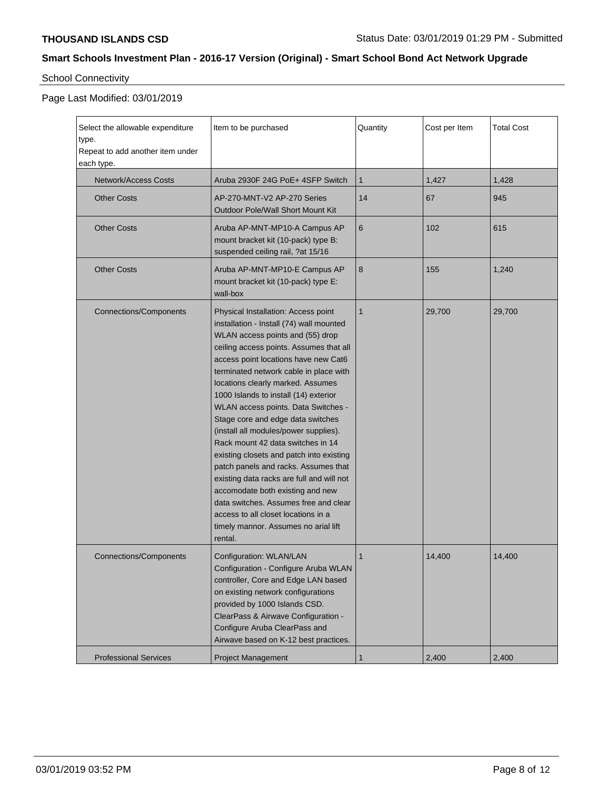# School Connectivity

# Page Last Modified: 03/01/2019

| Select the allowable expenditure<br>type.<br>Repeat to add another item under<br>each type. | Item to be purchased                                                                                                                                                                                                                                                                                                                                                                                                                                                                                                                                                                                                                                                                                                                                                                             | Quantity     | Cost per Item | <b>Total Cost</b> |
|---------------------------------------------------------------------------------------------|--------------------------------------------------------------------------------------------------------------------------------------------------------------------------------------------------------------------------------------------------------------------------------------------------------------------------------------------------------------------------------------------------------------------------------------------------------------------------------------------------------------------------------------------------------------------------------------------------------------------------------------------------------------------------------------------------------------------------------------------------------------------------------------------------|--------------|---------------|-------------------|
| <b>Network/Access Costs</b>                                                                 | Aruba 2930F 24G PoE+ 4SFP Switch                                                                                                                                                                                                                                                                                                                                                                                                                                                                                                                                                                                                                                                                                                                                                                 | 1            | 1,427         | 1,428             |
| <b>Other Costs</b>                                                                          | AP-270-MNT-V2 AP-270 Series<br>Outdoor Pole/Wall Short Mount Kit                                                                                                                                                                                                                                                                                                                                                                                                                                                                                                                                                                                                                                                                                                                                 | 14           | 67            | 945               |
| <b>Other Costs</b>                                                                          | Aruba AP-MNT-MP10-A Campus AP<br>mount bracket kit (10-pack) type B:<br>suspended ceiling rail, ?at 15/16                                                                                                                                                                                                                                                                                                                                                                                                                                                                                                                                                                                                                                                                                        | 6            | 102           | 615               |
| <b>Other Costs</b>                                                                          | Aruba AP-MNT-MP10-E Campus AP<br>mount bracket kit (10-pack) type E:<br>wall-box                                                                                                                                                                                                                                                                                                                                                                                                                                                                                                                                                                                                                                                                                                                 | 8            | 155           | 1,240             |
| <b>Connections/Components</b>                                                               | Physical Installation: Access point<br>installation - Install (74) wall mounted<br>WLAN access points and (55) drop<br>ceiling access points. Assumes that all<br>access point locations have new Cat6<br>terminated network cable in place with<br>locations clearly marked. Assumes<br>1000 Islands to install (14) exterior<br>WLAN access points. Data Switches -<br>Stage core and edge data switches<br>(install all modules/power supplies).<br>Rack mount 42 data switches in 14<br>existing closets and patch into existing<br>patch panels and racks. Assumes that<br>existing data racks are full and will not<br>accomodate both existing and new<br>data switches. Assumes free and clear<br>access to all closet locations in a<br>timely mannor. Assumes no arial lift<br>rental. | $\mathbf{1}$ | 29,700        | 29,700            |
| <b>Connections/Components</b>                                                               | Configuration: WLAN/LAN<br>Configuration - Configure Aruba WLAN<br>controller, Core and Edge LAN based<br>on existing network configurations<br>provided by 1000 Islands CSD.<br>ClearPass & Airwave Configuration -<br>Configure Aruba ClearPass and<br>Airwave based on K-12 best practices.                                                                                                                                                                                                                                                                                                                                                                                                                                                                                                   | 1            | 14,400        | 14,400            |
| <b>Professional Services</b>                                                                | Project Management                                                                                                                                                                                                                                                                                                                                                                                                                                                                                                                                                                                                                                                                                                                                                                               | 1            | 2,400         | 2,400             |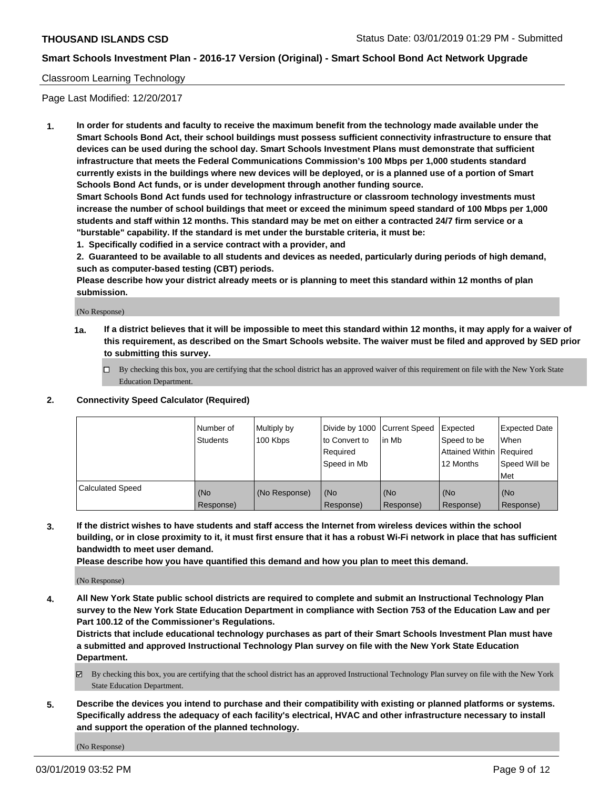### Classroom Learning Technology

Page Last Modified: 12/20/2017

**1. In order for students and faculty to receive the maximum benefit from the technology made available under the Smart Schools Bond Act, their school buildings must possess sufficient connectivity infrastructure to ensure that devices can be used during the school day. Smart Schools Investment Plans must demonstrate that sufficient infrastructure that meets the Federal Communications Commission's 100 Mbps per 1,000 students standard currently exists in the buildings where new devices will be deployed, or is a planned use of a portion of Smart Schools Bond Act funds, or is under development through another funding source.**

**Smart Schools Bond Act funds used for technology infrastructure or classroom technology investments must increase the number of school buildings that meet or exceed the minimum speed standard of 100 Mbps per 1,000 students and staff within 12 months. This standard may be met on either a contracted 24/7 firm service or a "burstable" capability. If the standard is met under the burstable criteria, it must be:**

**1. Specifically codified in a service contract with a provider, and**

**2. Guaranteed to be available to all students and devices as needed, particularly during periods of high demand, such as computer-based testing (CBT) periods.**

**Please describe how your district already meets or is planning to meet this standard within 12 months of plan submission.**

(No Response)

- **1a. If a district believes that it will be impossible to meet this standard within 12 months, it may apply for a waiver of this requirement, as described on the Smart Schools website. The waiver must be filed and approved by SED prior to submitting this survey.**
	- By checking this box, you are certifying that the school district has an approved waiver of this requirement on file with the New York State Education Department.

#### **2. Connectivity Speed Calculator (Required)**

|                         | Number of<br>Students | Multiply by<br>100 Kbps | Divide by 1000 Current Speed<br>to Convert to<br>Required<br>l Speed in Mb | lin Mb           | <b>Expected</b><br>Speed to be<br><b>Attained Within Required</b><br>12 Months | <b>Expected Date</b><br>When<br>Speed Will be<br><b>Met</b> |
|-------------------------|-----------------------|-------------------------|----------------------------------------------------------------------------|------------------|--------------------------------------------------------------------------------|-------------------------------------------------------------|
| <b>Calculated Speed</b> | (No<br>Response)      | (No Response)           | (No<br>Response)                                                           | (No<br>Response) | l (No<br>Response)                                                             | (No<br>Response)                                            |

**3. If the district wishes to have students and staff access the Internet from wireless devices within the school building, or in close proximity to it, it must first ensure that it has a robust Wi-Fi network in place that has sufficient bandwidth to meet user demand.**

**Please describe how you have quantified this demand and how you plan to meet this demand.**

(No Response)

**4. All New York State public school districts are required to complete and submit an Instructional Technology Plan survey to the New York State Education Department in compliance with Section 753 of the Education Law and per Part 100.12 of the Commissioner's Regulations.**

**Districts that include educational technology purchases as part of their Smart Schools Investment Plan must have a submitted and approved Instructional Technology Plan survey on file with the New York State Education Department.**

- By checking this box, you are certifying that the school district has an approved Instructional Technology Plan survey on file with the New York State Education Department.
- **5. Describe the devices you intend to purchase and their compatibility with existing or planned platforms or systems. Specifically address the adequacy of each facility's electrical, HVAC and other infrastructure necessary to install and support the operation of the planned technology.**

(No Response)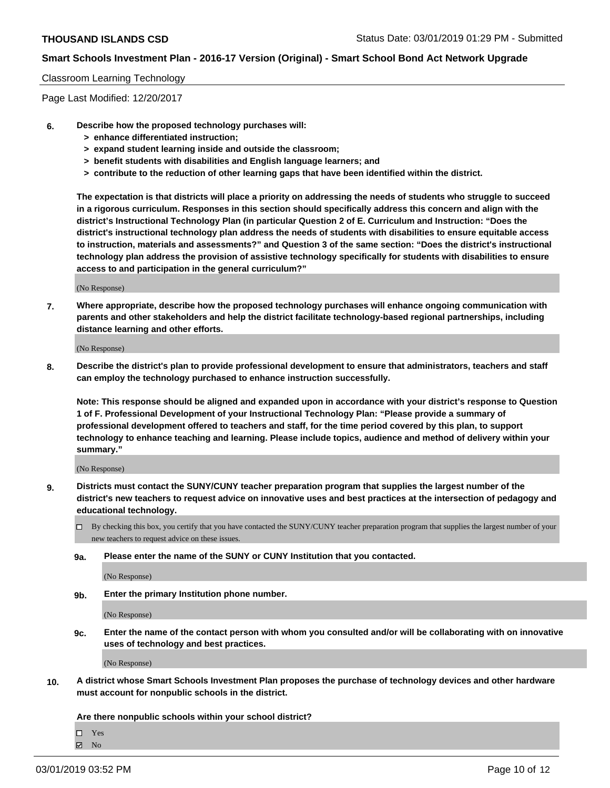#### Classroom Learning Technology

Page Last Modified: 12/20/2017

- **6. Describe how the proposed technology purchases will:**
	- **> enhance differentiated instruction;**
	- **> expand student learning inside and outside the classroom;**
	- **> benefit students with disabilities and English language learners; and**
	- **> contribute to the reduction of other learning gaps that have been identified within the district.**

**The expectation is that districts will place a priority on addressing the needs of students who struggle to succeed in a rigorous curriculum. Responses in this section should specifically address this concern and align with the district's Instructional Technology Plan (in particular Question 2 of E. Curriculum and Instruction: "Does the district's instructional technology plan address the needs of students with disabilities to ensure equitable access to instruction, materials and assessments?" and Question 3 of the same section: "Does the district's instructional technology plan address the provision of assistive technology specifically for students with disabilities to ensure access to and participation in the general curriculum?"**

(No Response)

**7. Where appropriate, describe how the proposed technology purchases will enhance ongoing communication with parents and other stakeholders and help the district facilitate technology-based regional partnerships, including distance learning and other efforts.**

(No Response)

**8. Describe the district's plan to provide professional development to ensure that administrators, teachers and staff can employ the technology purchased to enhance instruction successfully.**

**Note: This response should be aligned and expanded upon in accordance with your district's response to Question 1 of F. Professional Development of your Instructional Technology Plan: "Please provide a summary of professional development offered to teachers and staff, for the time period covered by this plan, to support technology to enhance teaching and learning. Please include topics, audience and method of delivery within your summary."**

(No Response)

- **9. Districts must contact the SUNY/CUNY teacher preparation program that supplies the largest number of the district's new teachers to request advice on innovative uses and best practices at the intersection of pedagogy and educational technology.**
	- $\Box$  By checking this box, you certify that you have contacted the SUNY/CUNY teacher preparation program that supplies the largest number of your new teachers to request advice on these issues.
	- **9a. Please enter the name of the SUNY or CUNY Institution that you contacted.**

(No Response)

**9b. Enter the primary Institution phone number.**

(No Response)

**9c. Enter the name of the contact person with whom you consulted and/or will be collaborating with on innovative uses of technology and best practices.**

(No Response)

**10. A district whose Smart Schools Investment Plan proposes the purchase of technology devices and other hardware must account for nonpublic schools in the district.**

**Are there nonpublic schools within your school district?**

Yes  $\boxtimes$  No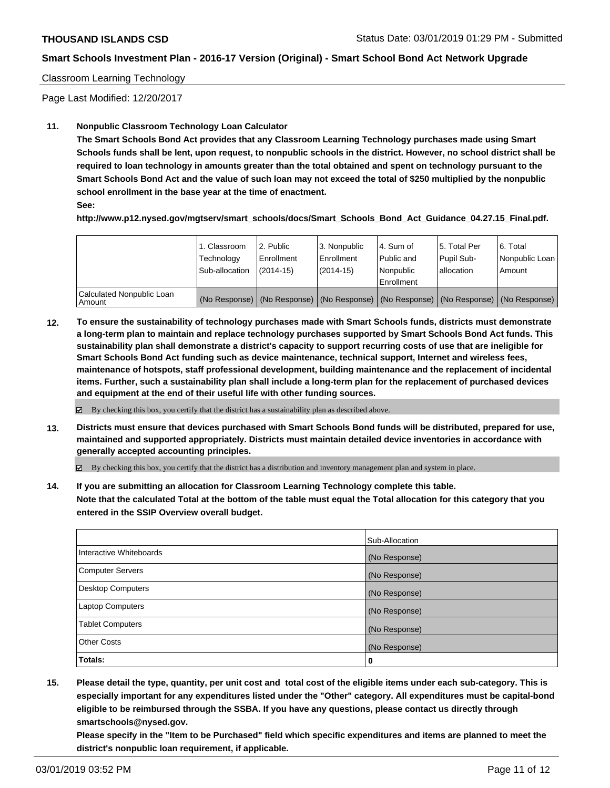### Classroom Learning Technology

Page Last Modified: 12/20/2017

### **11. Nonpublic Classroom Technology Loan Calculator**

**The Smart Schools Bond Act provides that any Classroom Learning Technology purchases made using Smart Schools funds shall be lent, upon request, to nonpublic schools in the district. However, no school district shall be required to loan technology in amounts greater than the total obtained and spent on technology pursuant to the Smart Schools Bond Act and the value of such loan may not exceed the total of \$250 multiplied by the nonpublic school enrollment in the base year at the time of enactment.**

**See:**

**http://www.p12.nysed.gov/mgtserv/smart\_schools/docs/Smart\_Schools\_Bond\_Act\_Guidance\_04.27.15\_Final.pdf.**

|                                       | 1. Classroom<br>Technology<br>Sub-allocation | 2. Public<br>l Enrollment<br>$(2014-15)$ | 3. Nonpublic<br>Enrollment<br>$(2014-15)$ | l 4. Sum of<br>Public and<br>l Nonpublic<br>l Enrollment | 15. Total Per<br>Pupil Sub-<br>lallocation | 6. Total<br>Nonpublic Loan  <br>Amount                                                        |
|---------------------------------------|----------------------------------------------|------------------------------------------|-------------------------------------------|----------------------------------------------------------|--------------------------------------------|-----------------------------------------------------------------------------------------------|
| Calculated Nonpublic Loan<br>l Amount |                                              |                                          |                                           |                                                          |                                            | (No Response)   (No Response)   (No Response)   (No Response)   (No Response)   (No Response) |

**12. To ensure the sustainability of technology purchases made with Smart Schools funds, districts must demonstrate a long-term plan to maintain and replace technology purchases supported by Smart Schools Bond Act funds. This sustainability plan shall demonstrate a district's capacity to support recurring costs of use that are ineligible for Smart Schools Bond Act funding such as device maintenance, technical support, Internet and wireless fees, maintenance of hotspots, staff professional development, building maintenance and the replacement of incidental items. Further, such a sustainability plan shall include a long-term plan for the replacement of purchased devices and equipment at the end of their useful life with other funding sources.**

By checking this box, you certify that the district has a sustainability plan as described above.

**13. Districts must ensure that devices purchased with Smart Schools Bond funds will be distributed, prepared for use, maintained and supported appropriately. Districts must maintain detailed device inventories in accordance with generally accepted accounting principles.**

By checking this box, you certify that the district has a distribution and inventory management plan and system in place.

**14. If you are submitting an allocation for Classroom Learning Technology complete this table. Note that the calculated Total at the bottom of the table must equal the Total allocation for this category that you entered in the SSIP Overview overall budget.**

|                          | Sub-Allocation |
|--------------------------|----------------|
| Interactive Whiteboards  | (No Response)  |
| <b>Computer Servers</b>  | (No Response)  |
| <b>Desktop Computers</b> | (No Response)  |
| <b>Laptop Computers</b>  | (No Response)  |
| <b>Tablet Computers</b>  | (No Response)  |
| <b>Other Costs</b>       | (No Response)  |
| Totals:                  | 0              |

**15. Please detail the type, quantity, per unit cost and total cost of the eligible items under each sub-category. This is especially important for any expenditures listed under the "Other" category. All expenditures must be capital-bond eligible to be reimbursed through the SSBA. If you have any questions, please contact us directly through smartschools@nysed.gov.**

**Please specify in the "Item to be Purchased" field which specific expenditures and items are planned to meet the district's nonpublic loan requirement, if applicable.**